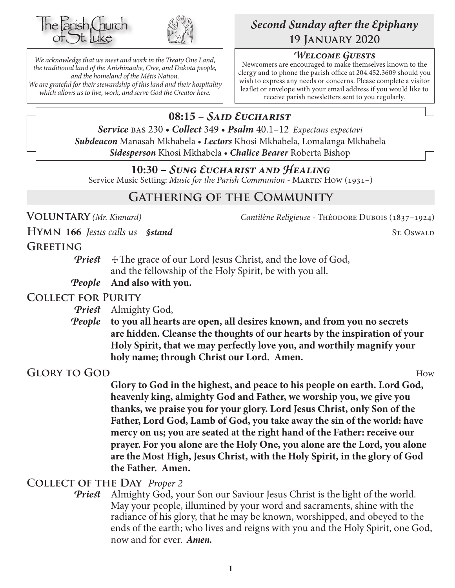



*We acknowledge that we meet and work in the Treaty One Land, the traditional land of the Anishinaabe, Cree, and Dakota people, and the homeland of the Métis Nation. We are grateful for their stewardship of this land and their hospitality which allows us to live, work, and serve God the Creator here.*

# *Second Sunday after the Epiphany* **19 January 2020**

#### *Welcome Guests*

Newcomers are encouraged to make themselves known to the clergy and to phone the parish office at 204.452.3609 should you wish to express any needs or concerns. Please complete a visitor leaflet or envelope with your email address if you would like to receive parish newsletters sent to you regularly.

## **08:15 –** *Said Eucharist*

*Service* bas 230 • *Collect* 349 • *Psalm* 40.1–12 *Expectans expectavi Subdeacon* Manasah Mkhabela • *Lectors* Khosi Mkhabela, Lomalanga Mkhabela *Sidesperson* Khosi Mkhabela • *Chalice Bearer* Roberta Bishop

#### **10:30 –** *Sung Eucharist and Healing*

Service Music Setting: *Music for the Parish Communion* - MARTIN How (1931–)

## **Gathering of the Community**

**Voluntary** *(Mr. Kinnard) Cantilène Religieuse -* Théodore Dubois (1837–1924)

**HYMN 166** *Jesus calls us §stand* St. Oswald

#### **Greeting**

*Priest*  $\pm$  The grace of our Lord Jesus Christ, and the love of God, and the fellowship of the Holy Spirit, be with you all.

#### *People* **And also with you.**

## **Collect for Purity**

- *Priest* Almighty God,
- *People* **to you all hearts are open, all desires known, and from you no secrets are hidden. Cleanse the thoughts of our hearts by the inspiration of your Holy Spirit, that we may perfectly love you, and worthily magnify your holy name; through Christ our Lord. Amen.**

## **Glory to God** How

**Glory to God in the highest, and peace to his people on earth. Lord God, heavenly king, almighty God and Father, we worship you, we give you thanks, we praise you for your glory. Lord Jesus Christ, only Son of the Father, Lord God, Lamb of God, you take away the sin of the world: have mercy on us; you are seated at the right hand of the Father: receive our prayer. For you alone are the Holy One, you alone are the Lord, you alone are the Most High, Jesus Christ, with the Holy Spirit, in the glory of God the Father. Amen.**

## **Collect of the Day** *Proper 2*

*Priest* Almighty God, your Son our Saviour Jesus Christ is the light of the world. May your people, illumined by your word and sacraments, shine with the radiance of his glory, that he may be known, worshipped, and obeyed to the ends of the earth; who lives and reigns with you and the Holy Spirit, one God, now and for ever.*Amen.*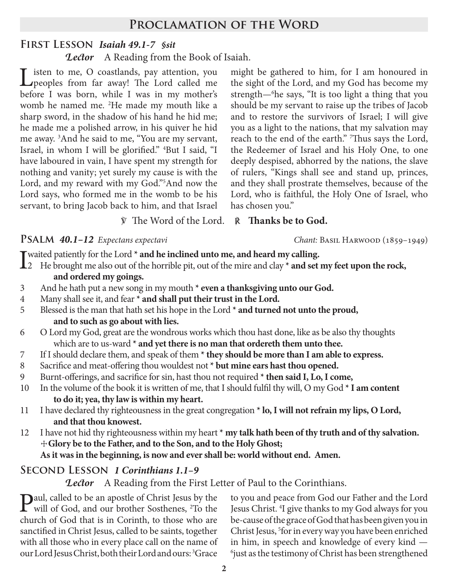#### **Proclamation of the Word**

#### **First Lesson** *Isaiah 49.1-7 §sit*

*Lector* A Reading from the Book of Isaiah.

Listen to me, O coastlands, pay attention, you<br>peoples from far away! The Lord called me before I was born, while I was in my mother's womb he named me. 2 He made my mouth like a sharp sword, in the shadow of his hand he hid me; he made me a polished arrow, in his quiver he hid me away. 3 And he said to me, "You are my servant, Israel, in whom I will be glorified." 4 But I said, "I have laboured in vain, I have spent my strength for nothing and vanity; yet surely my cause is with the Lord, and my reward with my God."5 And now the Lord says, who formed me in the womb to be his servant, to bring Jacob back to him, and that Israel

might be gathered to him, for I am honoured in the sight of the Lord, and my God has become my strength—6 he says, "It is too light a thing that you should be my servant to raise up the tribes of Jacob and to restore the survivors of Israel; I will give you as a light to the nations, that my salvation may reach to the end of the earth." 7 Thus says the Lord, the Redeemer of Israel and his Holy One, to one deeply despised, abhorred by the nations, the slave of rulers, "Kings shall see and stand up, princes, and they shall prostrate themselves, because of the Lord, who is faithful, the Holy One of Israel, who has chosen you."

℣ The Word of the Lord. ℟ **Thanks be to God.**

#### **PSALM 40.1–12** *Expectans expectavi Chant: BASIL HARWOOD* (1859–1949)

- I waited patiently for the Lord **\* and he inclined unto me, and heard my calling.**<br>
2 He brought me also out of the horrible pit, out of the mire and clay **\* and set my feet upon the rock, and ordered my goings.**
- 3 And he hath put a new song in my mouth **\* even a thanksgiving unto our God.**
- 4 Many shall see it, and fear **\* and shall put their trust in the Lord.**
- 5 Blessed is the man that hath set his hope in the Lord **\* and turned not unto the proud, and to such as go about with lies.**
- 6 O Lord my God, great are the wondrous works which thou hast done, like as be also thy thoughts which are to us-ward **\* and yet there is no man that ordereth them unto thee.**
- 7 If I should declare them, and speak of them **\* they should be more than I am able to express.**
- 8 Sacrifice and meat-offering thou wouldest not **\* but mine ears hast thou opened.**
- 9 Burnt-offerings, and sacrifice for sin, hast thou not required **\* then said I, Lo, I come,**
- 10 In the volume of the book it is written of me, that I should fulfil thy will, O my God **\* I am content to do it; yea, thy law is within my heart.**
- 11 I have declared thy righteousness in the great congregation **\* lo, I will not refrain my lips, O Lord, and that thou knowest.**
- 12 I have not hid thy righteousness within my heart **\* my talk hath been of thy truth and of thy salvation.** ☩**Glory be to the Father, and to the Son, and to the Holy Ghost;**

**As it was in the beginning, is now and ever shall be: world without end. Amen.**

#### **Second Lesson** *1 Corinthians 1.1–9*

*Lector* A Reading from the First Letter of Paul to the Corinthians.

**P**aul, called to be an apostle of Christ Jesus by the will of God, and our brother Sosthenes, <sup>2</sup>To the church of God that is in Corinth, to those who are sanctified in Christ Jesus, called to be saints, together with all those who in every place call on the name of our Lord Jesus Christ, both their Lord and ours: 3 Grace to you and peace from God our Father and the Lord Jesus Christ. 4 I give thanks to my God always for you be-cause of the grace of God that has been given you in Christ Jesus, <sup>5</sup>for in every way you have been enriched in him, in speech and knowledge of every kind — 6 just as the testimony of Christ has been strengthened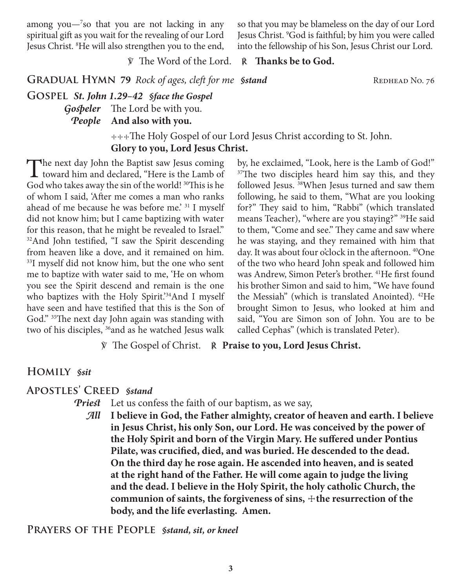among you—7 so that you are not lacking in any spiritual gift as you wait for the revealing of our Lord Jesus Christ. <sup>8</sup>He will also strengthen you to the end, so that you may be blameless on the day of our Lord Jesus Christ. 9 God is faithful; by him you were called into the fellowship of his Son, Jesus Christ our Lord.

℣ The Word of the Lord. ℟ **Thanks be to God.**

GRADUAL HYMN 79 *Rock of ages, cleft for me Sstand* REDHEAD No. 76

**Gospel** *St. John 1.29–42 §face the Gospel Gospeler* The Lord be with you. *People* **And also with you.**

> ☩☩☩The Holy Gospel of our Lord Jesus Christ according to St. John. **Glory to you, Lord Jesus Christ.**

The next day John the Baptist saw Jesus coming<br>toward him and declared, "Here is the Lamb of God who takes away the sin of the world! <sup>30</sup>This is he of whom I said, 'After me comes a man who ranks ahead of me because he was before me.' 31 I myself did not know him; but I came baptizing with water for this reason, that he might be revealed to Israel." <sup>32</sup>And John testified, "I saw the Spirit descending from heaven like a dove, and it remained on him. <sup>33</sup>I myself did not know him, but the one who sent me to baptize with water said to me, 'He on whom you see the Spirit descend and remain is the one who baptizes with the Holy Spirit.<sup>34</sup>And I myself have seen and have testified that this is the Son of God." 35The next day John again was standing with two of his disciples, <sup>36</sup>and as he watched Jesus walk

by, he exclaimed, "Look, here is the Lamb of God!" <sup>37</sup>The two disciples heard him say this, and they followed Jesus. 38When Jesus turned and saw them following, he said to them, "What are you looking for?" They said to him, "Rabbi" (which translated means Teacher), "where are you staying?" 39He said to them, "Come and see." They came and saw where he was staying, and they remained with him that day. It was about four o'clock in the afternoon. <sup>40</sup>One of the two who heard John speak and followed him was Andrew, Simon Peter's brother. 41He first found his brother Simon and said to him, "We have found the Messiah" (which is translated Anointed). 42He brought Simon to Jesus, who looked at him and said, "You are Simon son of John. You are to be called Cephas" (which is translated Peter).

℣ The Gospel of Christ. ℟ **Praise to you, Lord Jesus Christ.**

#### **Homily** *§sit*

## **Apostles' Creed** *§stand*

- *Priest* Let us confess the faith of our baptism, as we say,
	- *All* **I believe in God, the Father almighty, creator of heaven and earth. I believe in Jesus Christ, his only Son, our Lord. He was conceived by the power of the Holy Spirit and born of the Virgin Mary. He suffered under Pontius Pilate, was crucified, died, and was buried. He descended to the dead. On the third day he rose again. He ascended into heaven, and is seated at the right hand of the Father. He will come again to judge the living and the dead. I believe in the Holy Spirit, the holy catholic Church, the**  communion of saints, the forgiveness of sins,  $+$ the resurrection of the **body, and the life everlasting. Amen.**

**Prayers of the People** *§stand, sit, or kneel*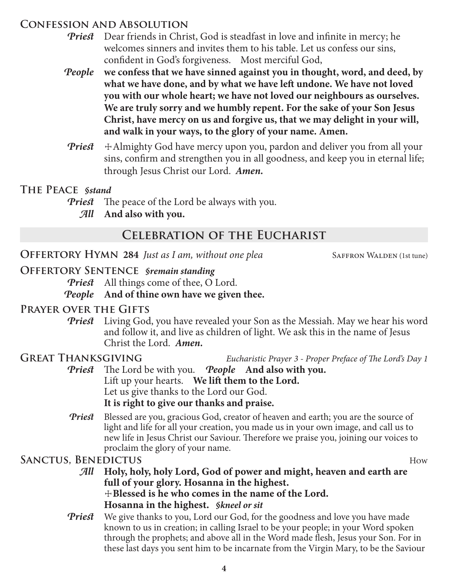## **Confession and Absolution**

- *Priest* Dear friends in Christ, God is steadfast in love and infinite in mercy; he welcomes sinners and invites them to his table. Let us confess our sins, confident in God's forgiveness. Most merciful God,
- *People* **we confess that we have sinned against you in thought, word, and deed, by what we have done, and by what we have left undone. We have not loved you with our whole heart; we have not loved our neighbours as ourselves. We are truly sorry and we humbly repent. For the sake of your Son Jesus Christ, have mercy on us and forgive us, that we may delight in your will, and walk in your ways, to the glory of your name. Amen.**
- *Priest*  $\pm$  Almighty God have mercy upon you, pardon and deliver you from all your sins, confirm and strengthen you in all goodness, and keep you in eternal life; through Jesus Christ our Lord.*Amen.*

#### **The Peace** *§stand*

- *Priest* The peace of the Lord be always with you.
	- *All* **And also with you.**

## **Celebration of the Eucharist**

**OFFERTORY HYMN 284** *Just as I am, without one plea* SAFFRON WALDEN (1st tune)

#### **OFFERTORY SENTENCE** §remain standing

- *Priest* All things come of thee, O Lord.
- *People* **And of thine own have we given thee.**

## **Prayer over the Gifts**

*Priest* Living God, you have revealed your Son as the Messiah. May we hear his word and follow it, and live as children of light. We ask this in the name of Jesus Christ the Lord. *Amen.*

**Great Thanksgiving** *Eucharistic Prayer 3 - Proper Preface of The Lord's Day 1*

- *Priest* The Lord be with you. *People* **And also with you.** Lift up your hearts. **We lift them to the Lord.** Let us give thanks to the Lord our God. **It is right to give our thanks and praise.**
- **Priest** Blessed are you, gracious God, creator of heaven and earth; you are the source of light and life for all your creation, you made us in your own image, and call us to new life in Jesus Christ our Saviour. Therefore we praise you, joining our voices to proclaim the glory of your name.

## **SANCTUS, BENEDICTUS** How

*All* **Holy, holy, holy Lord, God of power and might, heaven and earth are full of your glory. Hosanna in the highest.** ☩**Blessed is he who comes in the name of the Lord. Hosanna in the highest.** *§kneel or sit*

*Priest* We give thanks to you, Lord our God, for the goodness and love you have made known to us in creation; in calling Israel to be your people; in your Word spoken through the prophets; and above all in the Word made flesh, Jesus your Son. For in these last days you sent him to be incarnate from the Virgin Mary, to be the Saviour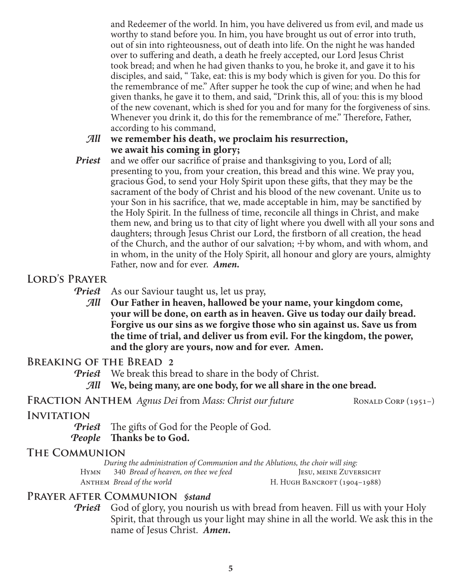and Redeemer of the world. In him, you have delivered us from evil, and made us worthy to stand before you. In him, you have brought us out of error into truth, out of sin into righteousness, out of death into life. On the night he was handed over to suffering and death, a death he freely accepted, our Lord Jesus Christ took bread; and when he had given thanks to you, he broke it, and gave it to his disciples, and said, " Take, eat: this is my body which is given for you. Do this for the remembrance of me." After supper he took the cup of wine; and when he had given thanks, he gave it to them, and said, "Drink this, all of you: this is my blood of the new covenant, which is shed for you and for many for the forgiveness of sins. Whenever you drink it, do this for the remembrance of me." Therefore, Father, according to his command,

#### *All* **we remember his death, we proclaim his resurrection, we await his coming in glory;**

*Priest* and we offer our sacrifice of praise and thanksgiving to you, Lord of all; presenting to you, from your creation, this bread and this wine. We pray you, gracious God, to send your Holy Spirit upon these gifts, that they may be the sacrament of the body of Christ and his blood of the new covenant. Unite us to your Son in his sacrifice, that we, made acceptable in him, may be sanctified by the Holy Spirit. In the fullness of time, reconcile all things in Christ, and make them new, and bring us to that city of light where you dwell with all your sons and daughters; through Jesus Christ our Lord, the firstborn of all creation, the head of the Church, and the author of our salvation;  $\dagger$  by whom, and with whom, and in whom, in the unity of the Holy Spirit, all honour and glory are yours, almighty Father, now and for ever. *Amen.*

## **Lord's Prayer**

- *Priest* As our Saviour taught us, let us pray,
	- *All* **Our Father in heaven, hallowed be your name, your kingdom come, your will be done, on earth as in heaven. Give us today our daily bread. Forgive us our sins as we forgive those who sin against us. Save us from the time of trial, and deliver us from evil. For the kingdom, the power, and the glory are yours, now and for ever. Amen.**

#### **Breaking of the Bread 2**

*Priest* We break this bread to share in the body of Christ.

*All* **We, being many, are one body, for we all share in the one bread.**

FRACTION ANTHEM *Agnus Dei* from *Mass: Christ our future* RONALD CORP (1951–)

## **Invitation**

*Priest* The gifts of God for the People of God. *People* **Thanks be to God.**

## **The Communion**

*During the administration of Communion and the Ablutions, the choir will sing:* Hymn 340 *Bread of heaven, on thee we feed* Jesu, meine Zuversicht ANTHEM *Bread of the world* H. HUGH BANCROFT (1904–1988)

## **Prayer after Communion** *§stand*

*Priest* God of glory, you nourish us with bread from heaven. Fill us with your Holy Spirit, that through us your light may shine in all the world. We ask this in the name of Jesus Christ. *Amen.*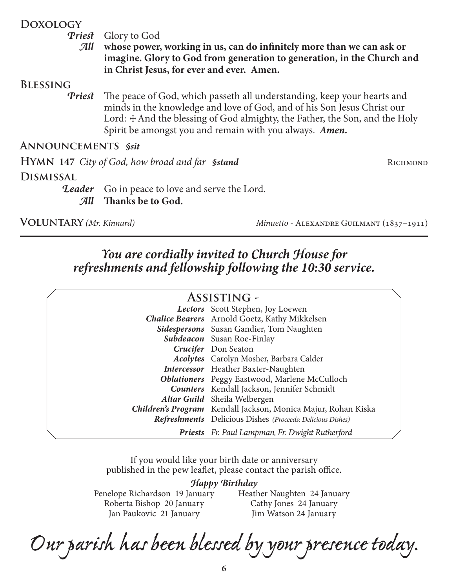| <b>DOXOLOGY</b>                  |                                                                                                                                                                                                                                                                                                            |                                           |          |
|----------------------------------|------------------------------------------------------------------------------------------------------------------------------------------------------------------------------------------------------------------------------------------------------------------------------------------------------------|-------------------------------------------|----------|
| <b>Priest</b>                    | Glory to God                                                                                                                                                                                                                                                                                               |                                           |          |
| All                              | whose power, working in us, can do infinitely more than we can ask or<br>imagine. Glory to God from generation to generation, in the Church and<br>in Christ Jesus, for ever and ever. Amen.                                                                                                               |                                           |          |
| <b>BLESSING</b>                  |                                                                                                                                                                                                                                                                                                            |                                           |          |
|                                  | <b>Priest</b> The peace of God, which passeth all understanding, keep your hearts and<br>minds in the knowledge and love of God, and of his Son Jesus Christ our<br>Lord: + And the blessing of God almighty, the Father, the Son, and the Holy<br>Spirit be amongst you and remain with you always. Amen. |                                           |          |
| <b>ANNOUNCEMENTS</b> <i>Ssit</i> |                                                                                                                                                                                                                                                                                                            |                                           |          |
|                                  | HYMN 147 City of God, how broad and far Sstand                                                                                                                                                                                                                                                             |                                           | RICHMOND |
| <b>DISMISSAL</b>                 |                                                                                                                                                                                                                                                                                                            |                                           |          |
|                                  | <b>Leader</b> Go in peace to love and serve the Lord.                                                                                                                                                                                                                                                      |                                           |          |
| All                              | Thanks be to God.                                                                                                                                                                                                                                                                                          |                                           |          |
| <b>VOLUNTARY</b> (Mr. Kinnard)   |                                                                                                                                                                                                                                                                                                            | Minuetto - ALEXANDRE GUILMANT (1837-1911) |          |

# *You are cordially invited to Church House for refreshments and fellowship following the 10:30 service.*

| <b>ASSISTING -</b> |                                                               |  |  |  |
|--------------------|---------------------------------------------------------------|--|--|--|
|                    | Lectors Scott Stephen, Joy Loewen                             |  |  |  |
|                    | Chalice Bearers Arnold Goetz, Kathy Mikkelsen                 |  |  |  |
|                    | Sidespersons Susan Gandier, Tom Naughten                      |  |  |  |
|                    | Subdeacon Susan Roe-Finlay                                    |  |  |  |
|                    | Crucifer Don Seaton                                           |  |  |  |
|                    | Acolytes Carolyn Mosher, Barbara Calder                       |  |  |  |
|                    | <b>Intercessor</b> Heather Baxter-Naughten                    |  |  |  |
|                    | <b>Oblationers</b> Peggy Eastwood, Marlene McCulloch          |  |  |  |
|                    | Counters Kendall Jackson, Jennifer Schmidt                    |  |  |  |
|                    | Altar Guild Sheila Welbergen                                  |  |  |  |
|                    | Children's Program Kendall Jackson, Monica Majur, Rohan Kiska |  |  |  |
|                    | Refreshments Delicious Dishes (Proceeds: Delicious Dishes)    |  |  |  |
|                    | Priests Fr. Paul Lampman, Fr. Dwight Rutherford               |  |  |  |

If you would like your birth date or anniversary published in the pew leaflet, please contact the parish office.

*Happy Birthday*

Penelope Richardson 19 January Roberta Bishop 20 January Jan Paukovic 21 January

Heather Naughten 24 January Cathy Jones 24 January Jim Watson 24 January

*Our parish has been blessed by your presence today.*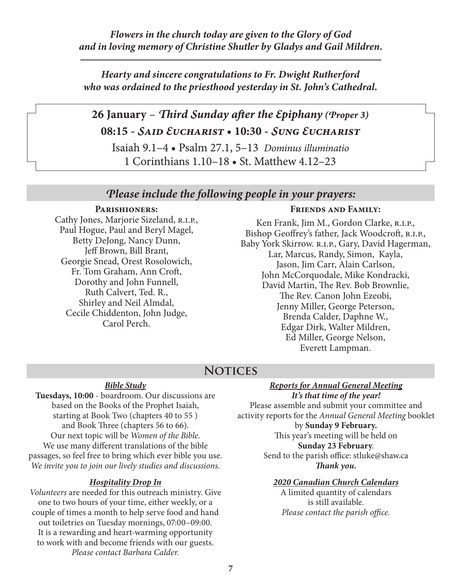*Flowers in the church today are given to the Glory of God and in loving memory of Christine Shutler by Gladys and Gail Mildren.*

*Hearty and sincere congratulations to Fr. Dwight Rutherford who was ordained to the priesthood yesterday in St. John's Cathedral.*

# **26 January** – *Third Sunday after the Epiphany (Proper 3)* **08:15 -** *Said Eucharist* **• 10:30 -** *Sung Eucharist*

Isaiah 9.1–4 • Psalm 27.1, 5–13 *Dominus illuminatio* 1 Corinthians 1.10–18 • St. Matthew 4.12–23

#### *Please include the following people in your prayers:*

#### **Parishioners:**

Cathy Jones, Marjorie Sizeland, R.I.P., Paul Hogue, Paul and Beryl Magel, Betty DeJong, Nancy Dunn, Jeff Brown, Bill Brant, Georgie Snead, Orest Rosolowich, Fr. Tom Graham, Ann Croft, Dorothy and John Funnell, Ruth Calvert, Ted. R., Shirley and Neil Almdal, Cecile Chiddenton, John Judge, Carol Perch.

#### **Friends and Family:**

Ken Frank, Jim M., Gordon Clarke, R.I.P., Bishop Geoffrey's father, Jack Woodcroft, R.I.P., Baby York Skirrow. R.I.P., Gary, David Hagerman, Lar, Marcus, Randy, Simon, Kayla, Jason, Jim Carr, Alain Carlson, John McCorquodale, Mike Kondracki, David Martin, The Rev. Bob Brownlie, The Rev. Canon John Ezeobi, Jenny Miller, George Peterson, Brenda Calder, Daphne W., Edgar Dirk, Walter Mildren, Ed Miller, George Nelson, Everett Lampman.

## **Notices**

#### *Bible Study*

**Tuesdays, 10:00** - boardroom. Our discussions are based on the Books of the Prophet Isaiah, starting at Book Two (chapters 40 to 55 ) and Book Three (chapters 56 to 66). Our next topic will be *Women of the Bible*. We use many different translations of the bible passages, so feel free to bring which ever bible you use. *We invite you to join our lively studies and discussions.*

#### *Hospitality Drop In*

*Volunteers* are needed for this outreach ministry. Give one to two hours of your time, either weekly, or a couple of times a month to help serve food and hand out toiletries on Tuesday mornings, 07:00–09:00. It is a rewarding and heart-warming opportunity to work with and become friends with our guests. *Please contact Barbara Calder.*

#### *Reports for Annual General Meeting It's that time of the year!*

Please assemble and submit your committee and activity reports for the *Annual General Meeting* booklet by **Sunday 9 February.** This year's meeting will be held on **Sunday 23 February**. Send to the parish office: stluke@shaw.ca

*Thank you.*

#### *2020 Canadian Church Calendars*

A limited quantity of calendars is still available. *Please contact the parish office.*